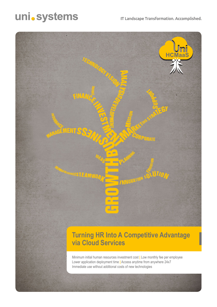## uni.systems